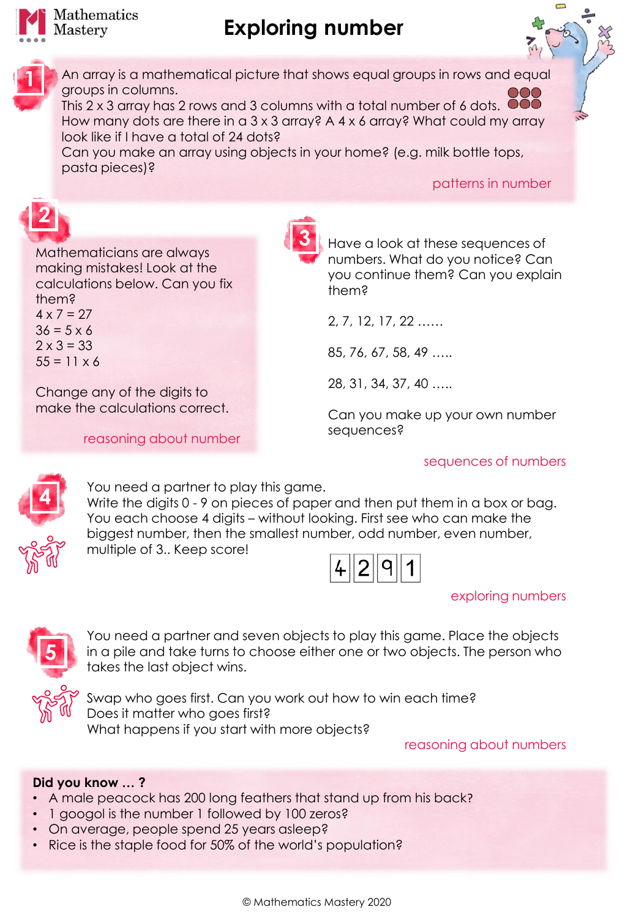

# **Exploring number**



**2**

An array is a mathematical picture that shows equal groups in rows and equal groups in columns.

This 2 x 3 array has 2 rows and 3 columns with a total number of 6 dots. If How many dots are there in a 3 x 3 array? A 4 x 6 array? What could my array look like if I have a total of 24 dots?

Can you make an array using objects in your home? (e.g. milk bottle tops, pasta pieces)?

**3**

patterns in number

Mathematicians are always making mistakes! Look at the calculations below. Can you fix them?  $4 \times 7 = 27$  $36 = 5 \times 6$  $2 \times 3 = 33$  $55 = 11 \times 6$ 

Change any of the digits to make the calculations correct.

reasoning about number

Have a look at these sequences of numbers. What do you notice? Can you continue them? Can you explain them?

2, 7, 12, 17, 22 ……

85, 76, 67, 58, 49 …..

28, 31, 34, 37, 40 …..

Can you make up your own number sequences?

### sequences of numbers



You need a partner to play this game. Write the digits 0 - 9 on pieces of paper and then put them in a box or bag. You each choose 4 digits – without looking. First see who can make the biggest number, then the smallest number, odd number, even number, multiple of 3.. Keep score!

You need a partner and seven objects to play this game. Place the objects in a pile and take turns to choose either one or two objects. The person who

| щ. |  | о |  |  |
|----|--|---|--|--|
|----|--|---|--|--|

#### exploring numbers



Swap who goes first. Can you work out how to win each time? Does it matter who goes first? What happens if you start with more objects?

reasoning about numbers

#### **Did you know … ?**

- A male peacock has 200 long feathers that stand up from his back?
- 1 googol is the number 1 followed by 100 zeros?
- On average, people spend 25 years asleep?

takes the last object wins.

• Rice is the staple food for 50% of the world's population?